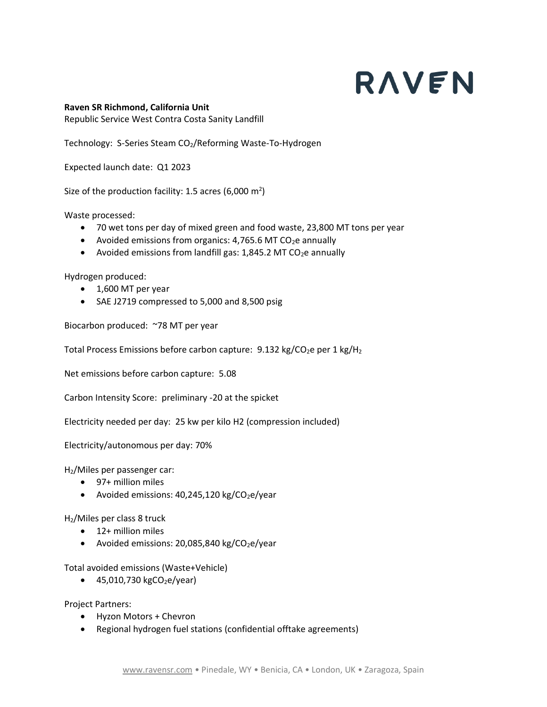## RAVEN

## **Raven SR Richmond, California Unit**

Republic Service West Contra Costa Sanity Landfill

Technology: S-Series Steam CO<sub>2</sub>/Reforming Waste-To-Hydrogen

Expected launch date: Q1 2023

Size of the production facility: 1.5 acres (6,000 m<sup>2</sup>)

Waste processed:

- 70 wet tons per day of mixed green and food waste, 23,800 MT tons per year
- Avoided emissions from organics: 4,765.6 MT CO<sub>2</sub>e annually
- Avoided emissions from landfill gas: 1,845.2 MT CO<sub>2</sub>e annually

Hydrogen produced:

- 1,600 MT per year
- SAE J2719 compressed to 5,000 and 8,500 psig

Biocarbon produced: ~78 MT per year

Total Process Emissions before carbon capture:  $9.132$  kg/CO<sub>2</sub>e per 1 kg/H<sub>2</sub>

Net emissions before carbon capture: 5.08

Carbon Intensity Score: preliminary -20 at the spicket

Electricity needed per day: 25 kw per kilo H2 (compression included)

Electricity/autonomous per day: 70%

H2/Miles per passenger car:

- 97+ million miles
- Avoided emissions:  $40,245,120$  kg/CO<sub>2</sub>e/year

H2/Miles per class 8 truck

- 12+ million miles
- Avoided emissions: 20,085,840 kg/CO<sub>2</sub>e/year

Total avoided emissions (Waste+Vehicle)

• 45,010,730 kgCO<sub>2</sub>e/year)

Project Partners:

- Hyzon Motors + Chevron
- Regional hydrogen fuel stations (confidential offtake agreements)